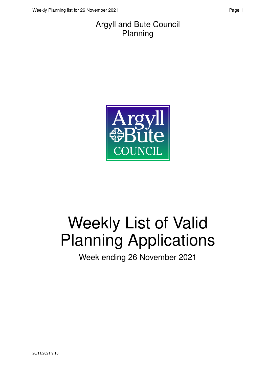#### Argyll and Bute Council Planning



# Weekly List of Valid Planning Applications

Week ending 26 November 2021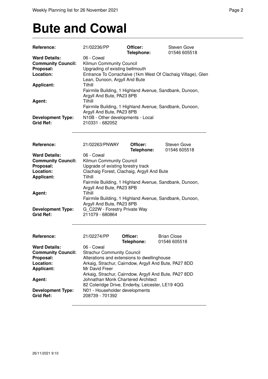### **Bute and Cowal**

| Reference:                | 21/02236/PP                                             | Officer:   | Steven Gove                                                  |
|---------------------------|---------------------------------------------------------|------------|--------------------------------------------------------------|
|                           |                                                         | Telephone: | 01546 605518                                                 |
| <b>Ward Details:</b>      | 06 - Cowal                                              |            |                                                              |
| <b>Community Council:</b> | Kilmun Community Council                                |            |                                                              |
| Proposal:                 | Upgrading of existing bellmouth                         |            |                                                              |
| Location:                 |                                                         |            | Entrance To Corrachaive (1km West Of Clachaig Village), Glen |
|                           | Lean, Dunoon, Argyll And Bute                           |            |                                                              |
| <b>Applicant:</b>         | Tilhill                                                 |            |                                                              |
|                           |                                                         |            | Fairmile Building, 1 Highland Avenue, Sandbank, Dunoon,      |
|                           | Argyll And Bute, PA23 8PB                               |            |                                                              |
| Agent:                    | Tilhill                                                 |            |                                                              |
|                           |                                                         |            | Fairmile Building, 1 Highland Avenue, Sandbank, Dunoon,      |
|                           | Argyll And Bute, PA23 8PB                               |            |                                                              |
| <b>Development Type:</b>  | N10B - Other developments - Local                       |            |                                                              |
| <b>Grid Ref:</b>          | 210331 - 682052                                         |            |                                                              |
|                           |                                                         |            |                                                              |
|                           |                                                         |            |                                                              |
| Reference:                | 21/02263/PNWAY                                          | Officer:   | <b>Steven Gove</b>                                           |
|                           |                                                         | Telephone: | 01546 605518                                                 |
| <b>Ward Details:</b>      | 06 - Cowal                                              |            |                                                              |
| <b>Community Council:</b> | Kilmun Community Council                                |            |                                                              |
| Proposal:                 | Upgrade of existing forestry track                      |            |                                                              |
| Location:                 | Clachaig Forest, Clachaig, Argyll And Bute              |            |                                                              |
| <b>Applicant:</b>         | Tilhill                                                 |            |                                                              |
|                           | Fairmile Building, 1 Highland Avenue, Sandbank, Dunoon, |            |                                                              |
|                           |                                                         |            |                                                              |
|                           | Argyll And Bute, PA23 8PB<br>Tilhill                    |            |                                                              |
| Agent:                    |                                                         |            |                                                              |
|                           | Fairmile Building, 1 Highland Avenue, Sandbank, Dunoon, |            |                                                              |
|                           | Argyll And Bute, PA23 8PB                               |            |                                                              |
| <b>Development Type:</b>  | G C22W - Forestry Private Way                           |            |                                                              |
| <b>Grid Ref:</b>          | 211079 - 680864                                         |            |                                                              |
|                           |                                                         |            |                                                              |
| Reference:                | 21/02274/PP                                             | Officer:   | <b>Brian Close</b>                                           |
|                           |                                                         | Telephone: | 01546 605518                                                 |
| <b>Ward Details:</b>      | 06 - Cowal                                              |            |                                                              |
| <b>Community Council:</b> | <b>Strachur Community Council</b>                       |            |                                                              |
| Proposal:                 | Alterations and extensions to dwellinghouse             |            |                                                              |
| Location:                 | Arkaig, Strachur, Cairndow, Argyll And Bute, PA27 8DD   |            |                                                              |
|                           | Mr David Freer                                          |            |                                                              |
| <b>Applicant:</b>         |                                                         |            |                                                              |
|                           | Arkaig, Strachur, Cairndow, Argyll And Bute, PA27 8DD   |            |                                                              |
| Agent:                    | Johnathan Monk Chartered Architect                      |            |                                                              |
|                           | 82 Coleridge Drive, Enderby, Leicester, LE19 4QG        |            |                                                              |
| <b>Development Type:</b>  | N01 - Householder developments                          |            |                                                              |
| <b>Grid Ref:</b>          | 208739 - 701392                                         |            |                                                              |
|                           |                                                         |            |                                                              |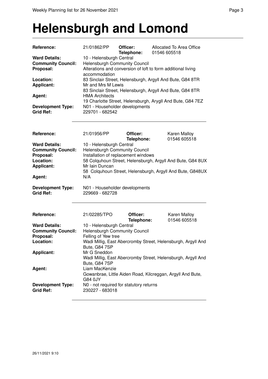#### **Helensburgh and Lomond**

| Reference:                                   | 21/01862/PP                                       | Officer:<br>Telephone: | Allocated To Area Office<br>01546 605518                                                                                |
|----------------------------------------------|---------------------------------------------------|------------------------|-------------------------------------------------------------------------------------------------------------------------|
| <b>Ward Details:</b>                         | 10 - Helensburgh Central                          |                        |                                                                                                                         |
| <b>Community Council:</b>                    | Helensburgh Community Council                     |                        |                                                                                                                         |
| Proposal:                                    | accommodation                                     |                        | Alterations and conversion of loft to form additional living                                                            |
| Location:                                    |                                                   |                        | 83 Sinclair Street, Helensburgh, Argyll And Bute, G84 8TR                                                               |
| <b>Applicant:</b>                            | Mr and Mrs M Lewis                                |                        |                                                                                                                         |
| Agent:                                       | <b>HMA Architects</b>                             |                        | 83 Sinclair Street, Helensburgh, Argyll And Bute, G84 8TR<br>19 Charlotte Street, Helensburgh, Arygll And Bute, G84 7EZ |
| <b>Development Type:</b><br><b>Grid Ref:</b> | N01 - Householder developments<br>229701 - 682542 |                        |                                                                                                                         |

| Reference:                | 21/01956/PP                          | Officer:   | <b>Karen Malloy</b>                                        |
|---------------------------|--------------------------------------|------------|------------------------------------------------------------|
|                           |                                      | Telephone: | 01546 605518                                               |
| <b>Ward Details:</b>      | 10 - Helensburgh Central             |            |                                                            |
| <b>Community Council:</b> | <b>Helensburgh Community Council</b> |            |                                                            |
| Proposal:                 | Installation of replacement windows  |            |                                                            |
| Location:                 |                                      |            | 58 Colquhoun Street, Helensburgh, Argyll And Bute, G84 8UX |
| <b>Applicant:</b>         | Mr Iain Duncan                       |            |                                                            |
|                           |                                      |            | 58 Colquhoun Street, Helensburgh, Argyll And Bute, G848UX  |
| Agent:                    | N/A                                  |            |                                                            |
| <b>Development Type:</b>  | N01 - Householder developments       |            |                                                            |

**Grid Ref:** 229669 - 682728

| Reference:                                   | 21/02285/TPO                                                                  | Officer:<br>Telephone: | <b>Karen Malloy</b><br>01546 605518 |
|----------------------------------------------|-------------------------------------------------------------------------------|------------------------|-------------------------------------|
| <b>Ward Details:</b>                         | 10 - Helensburgh Central                                                      |                        |                                     |
| <b>Community Council:</b>                    | <b>Helensburgh Community Council</b>                                          |                        |                                     |
| Proposal:                                    | Felling of Yew tree                                                           |                        |                                     |
| Location:                                    | Wadi Millig, East Abercromby Street, Helensburgh, Argyll And<br>Bute, G84 7SP |                        |                                     |
| <b>Applicant:</b>                            | Mr G Sneddon                                                                  |                        |                                     |
|                                              | Wadi Millig, East Abercromby Street, Helensburgh, Argyll And<br>Bute, G84 7SP |                        |                                     |
| Agent:                                       | Liam MacKenzie                                                                |                        |                                     |
|                                              | Gowanbrae, Little Aiden Road, Kilcreggan, Argyll And Bute,<br>G84 0JY         |                        |                                     |
| <b>Development Type:</b><br><b>Grid Ref:</b> | N0 - not required for statutory returns<br>230227 - 683018                    |                        |                                     |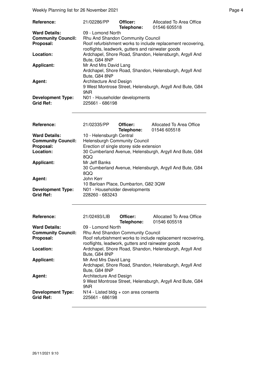Weekly Planning list for 26 November 2021 **Page 4** Page 4

| Reference:                                   | 21/02286/PP                                                                                                      | Officer:<br>Telephone: | Allocated To Area Office<br>01546 605518                  |  |  |
|----------------------------------------------|------------------------------------------------------------------------------------------------------------------|------------------------|-----------------------------------------------------------|--|--|
| <b>Ward Details:</b>                         | 09 - Lomond North                                                                                                |                        |                                                           |  |  |
| <b>Community Council:</b>                    | Rhu And Shandon Community Council                                                                                |                        |                                                           |  |  |
| Proposal:                                    | Roof refurbishment works to include replacement recovering,<br>rooflights, leadwork, gutters and rainwater goods |                        |                                                           |  |  |
| Location:                                    | Bute, G84 8NP                                                                                                    |                        | Ardchapel, Shore Road, Shandon, Helensburgh, Argyll And   |  |  |
| <b>Applicant:</b>                            | Mr And Mrs David Lang<br>Bute, G84 8NP                                                                           |                        | Ardchapel, Shore Road, Shandon, Helensburgh, Argyll And   |  |  |
| Agent:                                       | Architecture And Design<br>9NR                                                                                   |                        | 9 West Montrose Street, Helensburgh, Argyll And Bute, G84 |  |  |
| <b>Development Type:</b><br><b>Grid Ref:</b> | N01 - Householder developments<br>225661 - 686198                                                                |                        |                                                           |  |  |

| <b>Reference:</b>         | 21/02335/PP                              | Officer:<br>Telephone: | Allocated To Area Office<br>01546 605518                |
|---------------------------|------------------------------------------|------------------------|---------------------------------------------------------|
| <b>Ward Details:</b>      | 10 - Helensburgh Central                 |                        |                                                         |
| <b>Community Council:</b> | <b>Helensburgh Community Council</b>     |                        |                                                         |
| Proposal:                 | Erection of single storey side extension |                        |                                                         |
| Location:                 | 8QQ                                      |                        | 30 Cumberland Avenue, Helensburgh, Argyll And Bute, G84 |
| <b>Applicant:</b>         | Mr Jeff Banks                            |                        |                                                         |
|                           | 8QQ                                      |                        | 30 Cumberland Avenue, Helensburgh, Argyll And Bute, G84 |
| Agent:                    | John Kerr                                |                        |                                                         |
|                           | 10 Barloan Place, Dumbarton, G82 3QW     |                        |                                                         |
| <b>Development Type:</b>  | N01 - Householder developments           |                        |                                                         |
| <b>Grid Ref:</b>          | 228260 - 683243                          |                        |                                                         |
| <b>Reference:</b>         | 21/02493/LIB                             | Officer:               | Allocated To Area Office                                |

|                           |                                                   | Telephone: | 01546 605518                                                |
|---------------------------|---------------------------------------------------|------------|-------------------------------------------------------------|
| <b>Ward Details:</b>      | 09 - Lomond North                                 |            |                                                             |
| <b>Community Council:</b> | Rhu And Shandon Community Council                 |            |                                                             |
| Proposal:                 |                                                   |            | Roof refurbishment works to include replacement recovering, |
|                           | rooflights, leadwork, gutters and rainwater goods |            |                                                             |
| Location:                 |                                                   |            | Ardchapel, Shore Road, Shandon, Helensburgh, Argyll And     |
|                           | Bute, G84 8NP                                     |            |                                                             |
| <b>Applicant:</b>         | Mr And Mrs David Lang                             |            |                                                             |
|                           |                                                   |            | Ardchapel, Shore Road, Shandon, Helensburgh, Argyll And     |
|                           | Bute, G84 8NP                                     |            |                                                             |
| Agent:                    | Architecture And Design                           |            |                                                             |
|                           |                                                   |            | 9 West Montrose Street, Helensburgh, Argyll And Bute, G84   |
|                           | 9NR                                               |            |                                                             |
| <b>Development Type:</b>  | $N14$ - Listed bldg + con area consents           |            |                                                             |
| <b>Grid Ref:</b>          | 225661 - 686198                                   |            |                                                             |
|                           |                                                   |            |                                                             |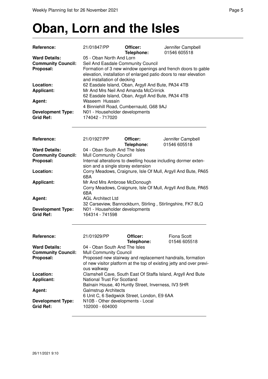# **Oban, Lorn and the Isles**

| Reference:                                                     | 21/01847/PP                                                                                                                                       | Officer:<br>Telephone: | Jennifer Campbell<br>01546 605518                                                                                                 |
|----------------------------------------------------------------|---------------------------------------------------------------------------------------------------------------------------------------------------|------------------------|-----------------------------------------------------------------------------------------------------------------------------------|
| <b>Ward Details:</b><br><b>Community Council:</b><br>Proposal: | 05 - Oban North And Lorn<br>Seil And Easdale Community Council<br>and installation of decking                                                     |                        | Formation of 3 new window openings and french doors to gable<br>elevation, installation of enlarged patio doors to rear elevation |
| Location:<br><b>Applicant:</b>                                 | 62 Easdale Island, Oban, Argyll And Bute, PA34 4TB<br>Mr And Mrs Neil And Amanda McCrirrick<br>62 Easdale Island, Oban, Argyll And Bute, PA34 4TB |                        |                                                                                                                                   |
| Agent:                                                         | Waseem Hussain<br>4 Binniehill Road, Cumbernauld, G68 9AJ                                                                                         |                        |                                                                                                                                   |
| <b>Development Type:</b><br><b>Grid Ref:</b>                   | N01 - Householder developments<br>174042 - 717020                                                                                                 |                        |                                                                                                                                   |
| Reference:                                                     | 21/01927/PP                                                                                                                                       | Officer:<br>Telephone: | Jennifer Campbell<br>01546 605518                                                                                                 |
| <b>Ward Details:</b><br><b>Community Council:</b>              | 04 - Oban South And The Isles<br><b>Mull Community Council</b>                                                                                    |                        |                                                                                                                                   |
| Proposal:                                                      | sion and a single storey extension                                                                                                                |                        | Internal alterations to dwelling house including dormer exten-                                                                    |
| Location:                                                      | 6BA                                                                                                                                               |                        | Corry Meadows, Craignure, Isle Of Mull, Argyll And Bute, PA65                                                                     |
| <b>Applicant:</b>                                              | Mr And Mrs Ambrose McDonough<br>6BA                                                                                                               |                        | Corry Meadows, Craignure, Isle Of Mull, Argyll And Bute, PA65                                                                     |
| Agent:                                                         | <b>AGL Architect Ltd</b><br>32 Carseview, Bannockburn, Stirling, Stirlingshire, FK7 8LQ                                                           |                        |                                                                                                                                   |
| <b>Development Type:</b><br><b>Grid Ref:</b>                   | N01 - Householder developments<br>164314 - 741598                                                                                                 |                        |                                                                                                                                   |
| <b>Reference:</b>                                              | 21/01929/PP                                                                                                                                       | Officer:<br>Telephone: | <b>Fiona Scott</b><br>01546 605518                                                                                                |
| <b>Ward Details:</b><br>9 H H                                  | 04 - Oban South And The Isles<br>$M \cup \bigcap_{i=1}^{n} A_i$ is the $\bigcap_{i=1}^{n} A_i$ in $\bigcap_{i=1}^{n} A_i$                         |                        |                                                                                                                                   |

| 04 - Oban South And The Isles                                                                                                                     |
|---------------------------------------------------------------------------------------------------------------------------------------------------|
| <b>Mull Community Council</b>                                                                                                                     |
| Proposed new stairway and replacement handrails, formation<br>of new visitor platform at the top of existing jetty and over previ-<br>ous walkway |
| Clamshell Cave, South East Of Staffa Island, Argyll And Bute                                                                                      |
| National Trust For Scotland                                                                                                                       |
| Balnain House, 40 Huntly Street, Inverness, IV3 5HR                                                                                               |
| <b>Galmstrup Architects</b>                                                                                                                       |
| 6 Unit C, 6 Sedgwick Street, London, E9 6AA                                                                                                       |
| N10B - Other developments - Local<br>102000 - 604000                                                                                              |
|                                                                                                                                                   |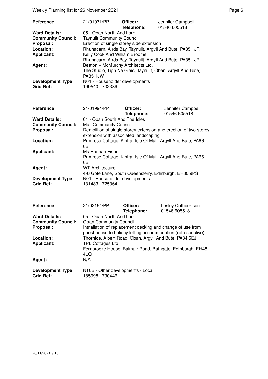Weekly Planning list for 26 November 2021 **Page 6** November 2021

| <b>Reference:</b>         | 21/01971/PP                                               | Officer:<br>Telephone: | Jennifer Campbell<br>01546 605518                           |
|---------------------------|-----------------------------------------------------------|------------------------|-------------------------------------------------------------|
| <b>Ward Details:</b>      | 05 - Oban North And Lorn                                  |                        |                                                             |
| <b>Community Council:</b> | <b>Taynuilt Community Council</b>                         |                        |                                                             |
| Proposal:                 | Erection of single storey side extension                  |                        |                                                             |
| Location:                 | Rhunacarn, Airds Bay, Taynuilt, Argyll And Bute, PA35 1JR |                        |                                                             |
| <b>Applicant:</b>         | Kelly Cook And William Broome                             |                        |                                                             |
|                           |                                                           |                        | Rhunacarn, Airds Bay, Taynuilt, Argyll And Bute, PA35 1JR   |
| Agent:                    | Beaton + McMurchy Architects Ltd.                         |                        |                                                             |
|                           |                                                           |                        | The Studio, Tigh Na Glaic, Taynuilt, Oban, Argyll And Bute, |
|                           | <b>PA35 1JW</b>                                           |                        |                                                             |
| <b>Development Type:</b>  | N01 - Householder developments                            |                        |                                                             |
| <b>Grid Ref:</b>          | 199540 - 732389                                           |                        |                                                             |

| Reference:                                   | 21/01994/PP                                                              | Officer:<br>Telephone: | Jennifer Campbell<br>01546 605518                                |
|----------------------------------------------|--------------------------------------------------------------------------|------------------------|------------------------------------------------------------------|
| <b>Ward Details:</b>                         | 04 - Oban South And The Isles                                            |                        |                                                                  |
| <b>Community Council:</b>                    | <b>Mull Community Council</b>                                            |                        |                                                                  |
| Proposal:                                    | extension with associated landscaping                                    |                        | Demolition of single-storey extension and erection of two-storey |
| Location:                                    | 6BT                                                                      |                        | Primrose Cottage, Kintra, Isle Of Mull, Argyll And Bute, PA66    |
| <b>Applicant:</b>                            | Ms Hannah Fisher<br>6BT                                                  |                        | Primrose Cottage, Kintra, Isle Of Mull, Argyll And Bute, PA66    |
| Agent:                                       | WT Architecture<br>4-6 Gote Lane, South Queensferry, Edinburgh, EH30 9PS |                        |                                                                  |
| <b>Development Type:</b><br><b>Grid Ref:</b> | N01 - Householder developments<br>131483 - 725364                        |                        |                                                                  |

| <b>Reference:</b>                                              | 21/02154/PP                                                                              | Officer:<br>Telephone: | Lesley Cuthbertson<br>01546 605518                                                                                         |
|----------------------------------------------------------------|------------------------------------------------------------------------------------------|------------------------|----------------------------------------------------------------------------------------------------------------------------|
| <b>Ward Details:</b><br><b>Community Council:</b><br>Proposal: | 05 - Oban North And Lorn<br><b>Oban Community Council</b>                                |                        | Installation of replacement decking and change of use from<br>guest house to holiday letting accommodation (retrospective) |
| Location:<br><b>Applicant:</b>                                 | Thornloe, Albert Road, Oban, Argyll And Bute, PA34 5EJ<br><b>TPL Cottages Ltd</b><br>4LQ |                        | Fernbrooke House, Balmuir Road, Bathgate, Edinburgh, EH48                                                                  |
| Agent:                                                         | N/A                                                                                      |                        |                                                                                                                            |
| <b>Development Type:</b><br><b>Grid Ref:</b>                   | N10B - Other developments - Local<br>185998 - 730446                                     |                        |                                                                                                                            |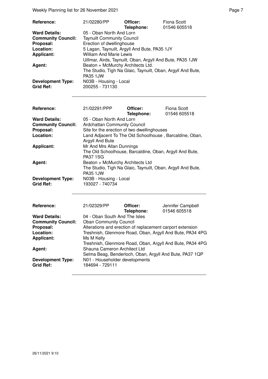Weekly Planning list for 26 November 2021 **Page 7** November 2021

| <b>Reference:</b>         | 21/02280/PP                                                 | Officer:<br>Telephone: | Fiona Scott<br>01546 605518 |
|---------------------------|-------------------------------------------------------------|------------------------|-----------------------------|
| <b>Ward Details:</b>      | 05 - Oban North And Lorn                                    |                        |                             |
| <b>Community Council:</b> | <b>Taynuilt Community Council</b>                           |                        |                             |
| Proposal:                 | Erection of dwellinghouse                                   |                        |                             |
| Location:                 | 5 Lagan, Taynuilt, Argyll And Bute, PA35 1JY                |                        |                             |
| <b>Applicant:</b>         | <b>William And Marie Lewis</b>                              |                        |                             |
|                           | Uillmar, Airds, Taynuilt, Oban, Argyll And Bute, PA35 1JW   |                        |                             |
| <b>Agent:</b>             | Beaton + McMurchy Architects Ltd.                           |                        |                             |
|                           | The Studio, Tigh Na Glaic, Taynuilt, Oban, Argyll And Bute, |                        |                             |
|                           | <b>PA35 1JW</b>                                             |                        |                             |
| <b>Development Type:</b>  | N03B - Housing - Local                                      |                        |                             |
| <b>Grid Ref:</b>          | 200255 - 731130                                             |                        |                             |

| Reference:                                   | 21/02291/PPP                                                                   | Officer:<br>Telephone: | Fiona Scott<br>01546 605518 |
|----------------------------------------------|--------------------------------------------------------------------------------|------------------------|-----------------------------|
| <b>Ward Details:</b>                         | 05 - Oban North And Lorn                                                       |                        |                             |
| <b>Community Council:</b>                    | <b>Ardchattan Community Council</b>                                            |                        |                             |
| Proposal:                                    | Site for the erection of two dwellinghouses                                    |                        |                             |
| Location:                                    | Land Adjacent To The Old Schoolhouse, Barcaldine, Oban,<br>Argyll And Bute     |                        |                             |
| <b>Applicant:</b>                            | Mr And Mrs Allan Dunnings                                                      |                        |                             |
|                                              | The Old Schoolhouse, Barcaldine, Oban, Argyll And Bute,<br><b>PA37 1SG</b>     |                        |                             |
| Agent:                                       | Beaton + McMurchy Architects Ltd                                               |                        |                             |
|                                              | The Studio, Tigh Na Glaic, Taynuilt, Oban, Argyll And Bute,<br><b>PA35 1JW</b> |                        |                             |
| <b>Development Type:</b><br><b>Grid Ref:</b> | N03B - Housing - Local<br>193027 - 740734                                      |                        |                             |

| Reference:                            | 21/02329/PP                                               | Officer:<br>Telephone: | Jennifer Campbell<br>01546 605518                                                                                    |
|---------------------------------------|-----------------------------------------------------------|------------------------|----------------------------------------------------------------------------------------------------------------------|
| <b>Ward Details:</b>                  | 04 - Oban South And The Isles                             |                        |                                                                                                                      |
| <b>Community Council:</b>             | <b>Oban Community Council</b>                             |                        |                                                                                                                      |
| Proposal:                             | Alterations and erection of replacement carport extension |                        |                                                                                                                      |
| Location:                             |                                                           |                        | Treshnish, Glenmore Road, Oban, Argyll And Bute, PA34 4PG                                                            |
| <b>Applicant:</b>                     | Ms M Kelly                                                |                        |                                                                                                                      |
| Agent:                                | Shauna Cameron Architect Ltd                              |                        | Treshnish, Glenmore Road, Oban, Argyll And Bute, PA34 4PG<br>Selma Beag, Benderloch, Oban, Argyll And Bute, PA37 1QP |
| <b>Development Type:</b><br>Grid Ref: | N01 - Householder developments<br>184694 - 729111         |                        |                                                                                                                      |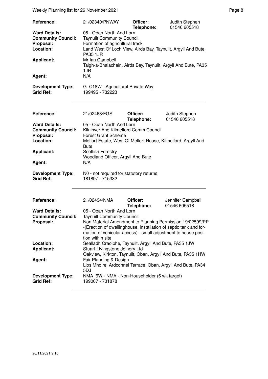Weekly Planning list for 26 November 2021 **Page 8** Page 8

| Reference:                                                                                                 | 21/02340/PNWAY                                                                                                                                                                                                                                                                                                        | Officer:               | Judith Stephen                 |  |
|------------------------------------------------------------------------------------------------------------|-----------------------------------------------------------------------------------------------------------------------------------------------------------------------------------------------------------------------------------------------------------------------------------------------------------------------|------------------------|--------------------------------|--|
| <b>Ward Details:</b><br><b>Community Council:</b><br>Proposal:<br>Location:<br><b>Applicant:</b><br>Agent: | 01546 605518<br>Telephone:<br>05 - Oban North And Lorn<br><b>Taynuilt Community Council</b><br>Formation of agricultural track<br>Land West Of Loch View, Airds Bay, Taynuilt, Argyll And Bute,<br><b>PA35 1JR</b><br>Mr Ian Campbell<br>Taigh-a-Bhalachain, Airds Bay, Taynuilt, Argyll And Bute, PA35<br>1JR<br>N/A |                        |                                |  |
| <b>Development Type:</b><br><b>Grid Ref:</b>                                                               | G_C18W - Agricultural Private Way<br>199495 - 732223                                                                                                                                                                                                                                                                  |                        |                                |  |
|                                                                                                            |                                                                                                                                                                                                                                                                                                                       |                        |                                |  |
| Reference:                                                                                                 | 21/02468/FGS                                                                                                                                                                                                                                                                                                          | Officer:<br>Telephone: | Judith Stephen<br>01546 605518 |  |
| <b>Ward Details:</b>                                                                                       | 05 - Oban North And Lorn                                                                                                                                                                                                                                                                                              |                        |                                |  |
| <b>Community Council:</b>                                                                                  | Kilninver And Kilmelford Comm Council                                                                                                                                                                                                                                                                                 |                        |                                |  |
| Proposal:                                                                                                  | <b>Forest Grant Scheme</b>                                                                                                                                                                                                                                                                                            |                        |                                |  |
| Location:                                                                                                  | Melfort Estate, West Of Melfort House, Kilmelford, Argyll And                                                                                                                                                                                                                                                         |                        |                                |  |
|                                                                                                            | <b>Bute</b>                                                                                                                                                                                                                                                                                                           |                        |                                |  |
| <b>Applicant:</b>                                                                                          | <b>Scottish Forestry</b>                                                                                                                                                                                                                                                                                              |                        |                                |  |
|                                                                                                            | Woodland Officer, Argyll And Bute                                                                                                                                                                                                                                                                                     |                        |                                |  |
| Agent:                                                                                                     | N/A                                                                                                                                                                                                                                                                                                                   |                        |                                |  |
| <b>Development Type:</b><br><b>Grid Ref:</b>                                                               | N0 - not required for statutory returns<br>181897 - 715332                                                                                                                                                                                                                                                            |                        |                                |  |
| Reference:                                                                                                 | 21/02494/NMA                                                                                                                                                                                                                                                                                                          | Officer:               | Jennifer Campbell              |  |
|                                                                                                            |                                                                                                                                                                                                                                                                                                                       | Telephone:             | 01546 605518                   |  |
| <b>Ward Details:</b>                                                                                       | 05 - Oban North And Lorn                                                                                                                                                                                                                                                                                              |                        |                                |  |
| <b>Community Council:</b>                                                                                  | <b>Taynuilt Community Council</b>                                                                                                                                                                                                                                                                                     |                        |                                |  |
| Proposal:                                                                                                  | Non Material Amendment to Planning Permission 19/02599/PP<br>-(Erection of dwellinghouse, installation of septic tank and for-<br>mation of vehicular access) - small adjustment to house posi-<br>tion within site                                                                                                   |                        |                                |  |
| Location:                                                                                                  | Sealladh Craoibhe, Taynuilt, Argyll And Bute, PA35 1JW                                                                                                                                                                                                                                                                |                        |                                |  |
| <b>Applicant:</b>                                                                                          | Stuart Livingstone Joinery Ltd                                                                                                                                                                                                                                                                                        |                        |                                |  |
|                                                                                                            | Oakview, Kirkton, Taynuilt, Oban, Argyll And Bute, PA35 1HW                                                                                                                                                                                                                                                           |                        |                                |  |
| Agent:                                                                                                     | Fair Planning & Design<br>Lios Mhoire, Ardconnel Terrace, Oban, Argyll And Bute, PA34<br>5DJ                                                                                                                                                                                                                          |                        |                                |  |
| <b>Development Type:</b><br><b>Grid Ref:</b>                                                               | NMA 6W - NMA - Non-Householder (6 wk target)<br>199007 - 731878                                                                                                                                                                                                                                                       |                        |                                |  |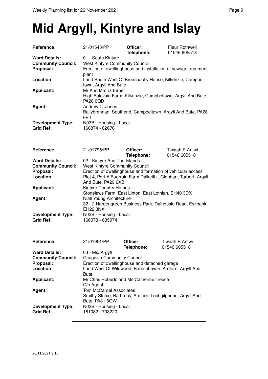## **Mid Argyll, Kintyre and Islay**

| Reference:                                   | 21/01543/PP                                                    | Officer:<br>Telephone:                                       | Fleur Rothwell<br>01546 605518                                   |  |
|----------------------------------------------|----------------------------------------------------------------|--------------------------------------------------------------|------------------------------------------------------------------|--|
| <b>Ward Details:</b>                         | 01 - South Kintyre                                             |                                                              |                                                                  |  |
| <b>Community Council:</b>                    | <b>West Kintyre Community Council</b>                          |                                                              |                                                                  |  |
| Proposal:                                    | Erection of dwellinghouse and installation of sewage treatment |                                                              |                                                                  |  |
|                                              | plant                                                          |                                                              |                                                                  |  |
| Location:                                    |                                                                | Land South West Of Breachachy House, Kilkenzie, Campbel-     |                                                                  |  |
|                                              | town, Argyll And Bute                                          |                                                              |                                                                  |  |
| <b>Applicant:</b>                            |                                                                | Mr And Mrs D Turner                                          |                                                                  |  |
|                                              |                                                                | High Balevain Farm, Kilkenzie, Campbeltown, Argyll And Bute, |                                                                  |  |
|                                              | <b>PA28 6QD</b>                                                |                                                              |                                                                  |  |
| Agent:                                       | Andrew C. Jones                                                |                                                              |                                                                  |  |
|                                              |                                                                |                                                              | Ballybrennan, Southend, Campbeltown, Argyll And Bute, PA28       |  |
|                                              | 6PJ                                                            |                                                              |                                                                  |  |
|                                              | N03B - Housing - Local                                         |                                                              |                                                                  |  |
| <b>Development Type:</b><br><b>Grid Ref:</b> |                                                                |                                                              |                                                                  |  |
|                                              | 166874 - 626761                                                |                                                              |                                                                  |  |
|                                              |                                                                |                                                              |                                                                  |  |
|                                              |                                                                |                                                              |                                                                  |  |
| Reference:                                   | 21/01795/PP                                                    | Officer:                                                     | Tiwaah P Antwi                                                   |  |
|                                              |                                                                | Telephone:                                                   | 01546 605518                                                     |  |
| <b>Ward Details:</b>                         | 02 - Kintyre And The Islands                                   |                                                              |                                                                  |  |
| <b>Community Council:</b>                    | <b>West Kintyre Community Council</b>                          |                                                              |                                                                  |  |
| Proposal:                                    |                                                                |                                                              | Erection of dwellinghouse and formation of vehicular access      |  |
| Location:                                    |                                                                |                                                              | Plot 4, Port A'Buorrain Farm Dalkeith, Glenbarr, Tarbert, Argyll |  |
|                                              | And Bute, PA29 6XB                                             |                                                              |                                                                  |  |
| <b>Applicant:</b>                            | Kintyre Country Homes                                          |                                                              |                                                                  |  |
|                                              | Stonelaws Farm, East Linton, East Lothian, EH40 3DX            |                                                              |                                                                  |  |
| Agent:                                       | Niall Young Architecture                                       |                                                              |                                                                  |  |
|                                              |                                                                |                                                              | 32-12 Hardengreen Business Park, Dalhousie Road, Eskbank,        |  |
|                                              | <b>EH22 3NX</b>                                                |                                                              |                                                                  |  |
|                                              |                                                                |                                                              |                                                                  |  |
| <b>Development Type:</b><br><b>Grid Ref:</b> | N03B - Housing - Local<br>166073 - 635974                      |                                                              |                                                                  |  |
|                                              |                                                                |                                                              |                                                                  |  |
|                                              |                                                                |                                                              |                                                                  |  |
|                                              |                                                                |                                                              |                                                                  |  |
| Reference:                                   | 21/01951/PP                                                    | Officer:                                                     | Tiwaah P Antwi                                                   |  |
|                                              |                                                                | Telephone:                                                   | 01546 605518                                                     |  |
| <b>Ward Details:</b>                         | 03 - Mid Argyll                                                |                                                              |                                                                  |  |
| <b>Community Council:</b>                    | <b>Craignish Community Council</b>                             |                                                              |                                                                  |  |
| Proposal:                                    | Erection of dwellinghouse and detached garage                  |                                                              |                                                                  |  |
| Location:                                    |                                                                |                                                              | Land West Of Wildwood, Barrichbeyan, Ardfern, Argyll And         |  |
|                                              | Bute                                                           |                                                              |                                                                  |  |
| <b>Applicant:</b>                            | Mr Chris Roberts and Ms Catherine Treece                       |                                                              |                                                                  |  |
|                                              | C/o Agent                                                      |                                                              |                                                                  |  |
| Agent:                                       | <b>Tom McCardel Associates</b>                                 |                                                              |                                                                  |  |
|                                              | Smithy Studio, Barbreck, Ardfern, Lochgilphead, Argyll And     |                                                              |                                                                  |  |
|                                              | Bute, PA31 8QW                                                 |                                                              |                                                                  |  |
| <b>Development Type:</b>                     | N03B - Housing - Local                                         |                                                              |                                                                  |  |
| <b>Grid Ref:</b>                             | 181082 - 708220                                                |                                                              |                                                                  |  |
|                                              |                                                                |                                                              |                                                                  |  |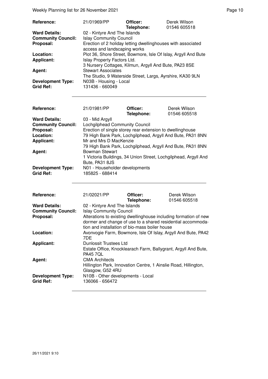Weekly Planning list for 26 November 2021 **Page 10** Page 10

| <b>Reference:</b>                            | 21/01969/PP                                                                                  | Officer:<br>Telephone: | Derek Wilson<br>01546 605518 |
|----------------------------------------------|----------------------------------------------------------------------------------------------|------------------------|------------------------------|
| <b>Ward Details:</b>                         | 02 - Kintyre And The Islands                                                                 |                        |                              |
| <b>Community Council:</b>                    | <b>Islay Community Council</b>                                                               |                        |                              |
| Proposal:                                    | Erection of 2 holiday letting dwellinghouses with associated<br>access and landscaping works |                        |                              |
| Location:                                    | Plot 36, Shore Street, Bowmore, Isle Of Islay, Argyll And Bute                               |                        |                              |
| <b>Applicant:</b>                            | Islay Property Factors Ltd.                                                                  |                        |                              |
|                                              | 3 Nursery Cottages, Kilmun, Argyll And Bute, PA23 8SE                                        |                        |                              |
| Agent:                                       | <b>Stewart Associates</b>                                                                    |                        |                              |
|                                              | The Studio, 9 Waterside Street, Largs, Ayrshire, KA30 9LN                                    |                        |                              |
| <b>Development Type:</b><br><b>Grid Ref:</b> | N03B - Housing - Local<br>131436 - 660049                                                    |                        |                              |

| <b>Reference:</b>         | 21/01981/PP                                                     | Officer:<br>Telephone: | Derek Wilson<br>01546 605518 |
|---------------------------|-----------------------------------------------------------------|------------------------|------------------------------|
| <b>Ward Details:</b>      | 03 - Mid Argyll                                                 |                        |                              |
| <b>Community Council:</b> | Lochgilphead Community Council                                  |                        |                              |
| Proposal:                 | Erection of single storey rear extension to dwellinghouse       |                        |                              |
| Location:                 | 79 High Bank Park, Lochgilphead, Argyll And Bute, PA31 8NN      |                        |                              |
| <b>Applicant:</b>         | Mr and Mrs D MacKenzie                                          |                        |                              |
|                           | 79 High Bank Park, Lochgilphead, Argyll And Bute, PA31 8NN      |                        |                              |
| Agent:                    | <b>Bowman Stewart</b>                                           |                        |                              |
|                           | 1 Victoria Buildings, 34 Union Street, Lochgilphead, Argyll And |                        |                              |
|                           | Bute, PA31 8JS                                                  |                        |                              |
| <b>Development Type:</b>  | N01 - Householder developments                                  |                        |                              |
| <b>Grid Ref:</b>          | 185825 - 688414                                                 |                        |                              |
|                           |                                                                 |                        |                              |

| Reference:                                        | 21/02021/PP                                                                                                                                                                       | Officer:<br>Telephone: | Derek Wilson<br>01546 605518 |
|---------------------------------------------------|-----------------------------------------------------------------------------------------------------------------------------------------------------------------------------------|------------------------|------------------------------|
| <b>Ward Details:</b><br><b>Community Council:</b> | 02 - Kintyre And The Islands<br><b>Islay Community Council</b>                                                                                                                    |                        |                              |
| Proposal:                                         | Alterations to existing dwellinghouse including formation of new<br>dormer and change of use to a shared residential accommoda-<br>tion and installation of bio-mass boiler house |                        |                              |
| Location:                                         | Avonvogie Farm, Bowmore, Isle Of Islay, Argyll And Bute, PA42<br>7DE.                                                                                                             |                        |                              |
| <b>Applicant:</b>                                 | Dunlossit Trustees Ltd<br>Estate Office, Knocklearach Farm, Ballygrant, Argyll And Bute,<br><b>PA45 7QL</b>                                                                       |                        |                              |
| Agent:                                            | <b>CMA Architects</b><br>Hillington Park, Innovation Centre, 1 Ainslie Road, Hillington,<br>Glasgow, G52 4RU                                                                      |                        |                              |
| <b>Development Type:</b><br><b>Grid Ref:</b>      | N10B - Other developments - Local<br>136066 - 656472                                                                                                                              |                        |                              |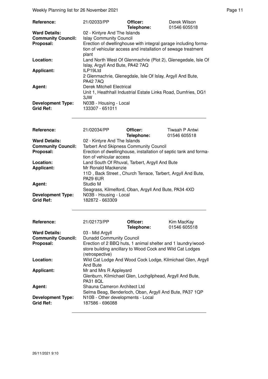Weekly Planning list for 26 November 2021 **Page 11** November 2021

| Reference:                                   | 21/02033/PP                                                                                                                               | Officer:<br>Telephone: | Derek Wilson<br>01546 605518 |
|----------------------------------------------|-------------------------------------------------------------------------------------------------------------------------------------------|------------------------|------------------------------|
| <b>Ward Details:</b>                         | 02 - Kintyre And The Islands<br><b>Islay Community Council</b>                                                                            |                        |                              |
| <b>Community Council:</b><br>Proposal:       | Erection of dwellinghouse with integral garage including forma-<br>tion of vehicular access and installation of sewage treatment<br>plant |                        |                              |
| Location:                                    | Land North West Of Glenmachrie (Plot 2), Glenegedale, Isle Of<br>Islay, Argyll And Bute, PA42 7AQ                                         |                        |                              |
| <b>Applicant:</b>                            | ILP19Ltd<br>2 Glenmachrie, Glenegdale, Isle Of Islay, Argyll And Bute,<br><b>PA42 7AQ</b>                                                 |                        |                              |
| Agent:                                       | Derek Mitchell Electrical<br>Unit 1, Heathhall Industrial Estate Links Road, Dumfries, DG1<br>3JW                                         |                        |                              |
| <b>Development Type:</b><br><b>Grid Ref:</b> | N03B - Housing - Local<br>133307 - 651011                                                                                                 |                        |                              |

| Reference:                | 21/02034/PP                                                                                           | Officer:<br>Telephone:                        | Tiwaah P Antwi<br>01546 605518                        |  |
|---------------------------|-------------------------------------------------------------------------------------------------------|-----------------------------------------------|-------------------------------------------------------|--|
| <b>Ward Details:</b>      | 02 - Kintyre And The Islands                                                                          |                                               |                                                       |  |
| <b>Community Council:</b> |                                                                                                       | <b>Tarbert And Skipness Community Council</b> |                                                       |  |
| Proposal:                 | Erection of dwellinghouse, installation of septic tank and forma-<br>tion of vehicular access         |                                               |                                                       |  |
| Location:                 | Land South Of Rhuval, Tarbert, Argyll And Bute                                                        |                                               |                                                       |  |
| <b>Applicant:</b>         | Mr Ronald Mackenzie<br>11D, Back Street, Church Terrace, Tarbert, Argyll And Bute,<br><b>PA29 6UR</b> |                                               |                                                       |  |
|                           |                                                                                                       |                                               |                                                       |  |
| Agent:                    | Studio M                                                                                              |                                               |                                                       |  |
|                           |                                                                                                       |                                               | Seagrass, Kilmelford, Oban, Argyll And Bute, PA34 4XD |  |
| <b>Development Type:</b>  | N03B - Housing - Local                                                                                |                                               |                                                       |  |
| Grid Ref:                 | 182872 - 663309                                                                                       |                                               |                                                       |  |
|                           |                                                                                                       |                                               |                                                       |  |
|                           |                                                                                                       |                                               |                                                       |  |

| Reference:                                   | 21/02173/PP                                          | Officer:                                                                                                                  | Kim MacKay   |
|----------------------------------------------|------------------------------------------------------|---------------------------------------------------------------------------------------------------------------------------|--------------|
|                                              |                                                      | Telephone:                                                                                                                | 01546 605518 |
| <b>Ward Details:</b>                         | 03 - Mid Argyll                                      |                                                                                                                           |              |
| <b>Community Council:</b>                    | <b>Dunadd Community Council</b>                      |                                                                                                                           |              |
| Proposal:                                    | (retrospective)                                      | Erection of 2 BBQ huts, 1 animal shelter and 1 laundry/wood-<br>store building ancillary to Wood Cock and Wild Cat Lodges |              |
| Location:                                    | And Bute                                             | Wild Cat Lodge And Wood Cock Lodge, Kilmichael Glen, Argyll                                                               |              |
| Applicant:                                   | Mr and Mrs R Appleyard<br><b>PA31 8QL</b>            | Glenburn, Kilmichael Glen, Lochgilphead, Argyll And Bute,                                                                 |              |
| Agent:                                       | Shauna Cameron Architect Ltd                         | Selma Beag, Benderloch, Oban, Argyll And Bute, PA37 1QP                                                                   |              |
| <b>Development Type:</b><br><b>Grid Ref:</b> | N10B - Other developments - Local<br>187586 - 696088 |                                                                                                                           |              |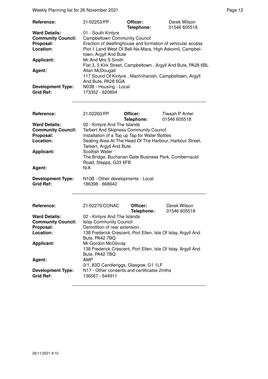Weekly Planning list for 26 November 2021 **Page 12** and the US of the Page 12

| <b>Reference:</b>         | 21/02253/PP                                                   | Officer:<br>Telephone: | Derek Wilson<br>01546 605518 |
|---------------------------|---------------------------------------------------------------|------------------------|------------------------------|
| <b>Ward Details:</b>      | 01 - South Kintyre                                            |                        |                              |
| <b>Community Council:</b> | <b>Campbeltown Community Council</b>                          |                        |                              |
| Proposal:                 | Erection of dwellinghouse and formation of vehicular access   |                        |                              |
| Location:                 | Plot 1 Land West Of Bell-Na-Mara, High Askomil, Campbel-      |                        |                              |
|                           | town, Argyll And Bute                                         |                        |                              |
| <b>Applicant:</b>         | Mr And Mrs S Smith                                            |                        |                              |
|                           | Flat 3, 5 Kirk Street, Campbeltown, Argyll And Bute, PA28 6BL |                        |                              |
| Agent:                    | Allan McDougall                                               |                        |                              |
|                           | 117 Sound Of Kintyre, Machrihanish, Campbeltown, Argyll       |                        |                              |
|                           | And Bute, PA28 6GA                                            |                        |                              |
| <b>Development Type:</b>  | N03B - Housing - Local                                        |                        |                              |
| <b>Grid Ref:</b>          | 173352 - 620894                                               |                        |                              |

| Reference:                                   | 21/02260/PP                                                                                            | Officer:<br>Telephone: | Tiwaah P Antwi<br>01546 605518                           |
|----------------------------------------------|--------------------------------------------------------------------------------------------------------|------------------------|----------------------------------------------------------|
| <b>Ward Details:</b>                         | 02 - Kintyre And The Islands                                                                           |                        |                                                          |
| <b>Community Council:</b>                    | <b>Tarbert And Skipness Community Council</b>                                                          |                        |                                                          |
| Proposal:                                    | Installation of a Top up Tap for Water Bottles                                                         |                        |                                                          |
| Location:                                    | Tarbert, Argyll And Bute                                                                               |                        | Seating Area At The Head Of The Harbour, Harbour Street, |
| <b>Applicant:</b>                            | <b>Scottish Water</b><br>The Bridge, Buchanan Gate Business Park, Cumbernauld<br>Road, Stepps, G33 6FB |                        |                                                          |
| Agent:                                       | N/A                                                                                                    |                        |                                                          |
| <b>Development Type:</b><br><b>Grid Ref:</b> | N10B - Other developments - Local<br>186398 - 668642                                                   |                        |                                                          |

| <b>Reference:</b>                            | 21/02270/CONAC                                                                                         | Officer:<br>Telephone: | Derek Wilson<br>01546 605518 |
|----------------------------------------------|--------------------------------------------------------------------------------------------------------|------------------------|------------------------------|
| <b>Ward Details:</b>                         | 02 - Kintyre And The Islands                                                                           |                        |                              |
| <b>Community Council:</b>                    | <b>Islay Community Council</b>                                                                         |                        |                              |
| Proposal:                                    | Demolition of rear extension                                                                           |                        |                              |
| Location:                                    | 138 Frederick Crescent, Port Ellen, Isle Of Islay, Argyll And<br>Bute, PA42 7BQ                        |                        |                              |
| <b>Applicant:</b>                            | Mr Gordon McGilvray<br>138 Frederick Crescent, Port Ellen, Isle Of Islay, Argyll And<br>Bute, PA42 7BQ |                        |                              |
| Agent:                                       | AMP<br>0/1, 83D Candleriggs, Glasgow, G1 1LF                                                           |                        |                              |
| <b>Development Type:</b><br><b>Grid Ref:</b> | N17 - Other consents and certificates 2mths<br>136567 - 644911                                         |                        |                              |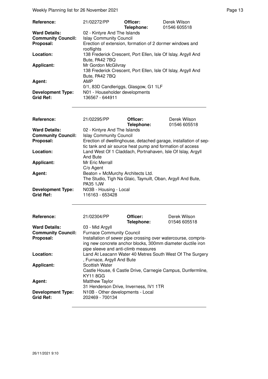Weekly Planning list for 26 November 2021 **Page 13** Page 13

| <b>Reference:</b>                            | 21/02272/PP                                                                                            | Officer:   | Derek Wilson |
|----------------------------------------------|--------------------------------------------------------------------------------------------------------|------------|--------------|
|                                              |                                                                                                        | Telephone: | 01546 605518 |
| <b>Ward Details:</b>                         | 02 - Kintyre And The Islands                                                                           |            |              |
| <b>Community Council:</b>                    | <b>Islay Community Council</b>                                                                         |            |              |
| Proposal:                                    | Erection of extension, formation of 2 dormer windows and<br>rooflights                                 |            |              |
| Location:                                    | 138 Frederick Crescent, Port Ellen, Isle Of Islay, Argyll And<br>Bute, PA42 7BQ                        |            |              |
| <b>Applicant:</b>                            | Mr Gordon McGilvray<br>138 Frederick Crescent, Port Ellen, Isle Of Islay, Argyll And<br>Bute, PA42 7BQ |            |              |
| Agent:                                       | AMP<br>0/1, 83D Candleriggs, Glasgow, G1 1LF                                                           |            |              |
| <b>Development Type:</b><br><b>Grid Ref:</b> | N01 - Householder developments<br>136567 - 644911                                                      |            |              |

| Reference:                | 21/02295/PP                                                                                                                   | Officer:                                                    | Derek Wilson |
|---------------------------|-------------------------------------------------------------------------------------------------------------------------------|-------------------------------------------------------------|--------------|
|                           |                                                                                                                               | Telephone:                                                  | 01546 605518 |
| <b>Ward Details:</b>      | 02 - Kintyre And The Islands                                                                                                  |                                                             |              |
| <b>Community Council:</b> | <b>Islay Community Council</b>                                                                                                |                                                             |              |
| Proposal:                 | Erection of dwellinghouse, detached garage, installation of sep-                                                              |                                                             |              |
|                           |                                                                                                                               | tic tank and air source heat pump and formation of access   |              |
| Location:                 |                                                                                                                               | Land West Of 1 Claddach, Portnahaven, Isle Of Islay, Argyll |              |
|                           | And Bute                                                                                                                      |                                                             |              |
| Applicant:                | Mr Eric Merrall                                                                                                               |                                                             |              |
|                           | C/o Agent                                                                                                                     |                                                             |              |
| Agent:                    | Beaton + McMurchy Architects Ltd.                                                                                             |                                                             |              |
|                           |                                                                                                                               | The Studio, Tigh Na Glaic, Taynuilt, Oban, Argyll And Bute, |              |
|                           | <b>PA35 1JW</b>                                                                                                               |                                                             |              |
| <b>Development Type:</b>  | N03B - Housing - Local                                                                                                        |                                                             |              |
| <b>Grid Ref:</b>          | 116163 - 653428                                                                                                               |                                                             |              |
|                           |                                                                                                                               |                                                             |              |
|                           |                                                                                                                               |                                                             |              |
| Reference:                | 21/02304/PP                                                                                                                   | Officer:                                                    | Derek Wilson |
|                           |                                                                                                                               | Telephone:                                                  | 01546 605518 |
| <b>Ward Details:</b>      | 03 - Mid Argyll                                                                                                               |                                                             |              |
| <b>Community Council:</b> | <b>Furnace Community Council</b>                                                                                              |                                                             |              |
| Proposal:                 | Installation of sewer pipe crossing over watercourse, compris-<br>ing new concrete anchor blocks, 300mm diameter ductile iron |                                                             |              |
|                           |                                                                                                                               |                                                             |              |
|                           | pipe sleeve and anti-climb measures                                                                                           |                                                             |              |
| Location:                 |                                                                                                                               | Land At Leacann Water 40 Metres South West Of The Surgery   |              |
|                           | , Furnace, Argyll And Bute                                                                                                    |                                                             |              |
| <b>Applicant:</b>         | <b>Scottish Water</b>                                                                                                         |                                                             |              |
|                           | Castle House, 6 Castle Drive, Carnegie Campus, Dunfermline,                                                                   |                                                             |              |
|                           | <b>KY11 8GG</b>                                                                                                               |                                                             |              |
| Agent:                    | <b>Matthew Taylor</b>                                                                                                         |                                                             |              |
|                           | 31 Henderson Drive, Inverness, IV1 1TR                                                                                        |                                                             |              |
| <b>Development Type:</b>  | N10B - Other developments - Local                                                                                             |                                                             |              |
| <b>Grid Ref:</b>          | 202469 - 700134                                                                                                               |                                                             |              |